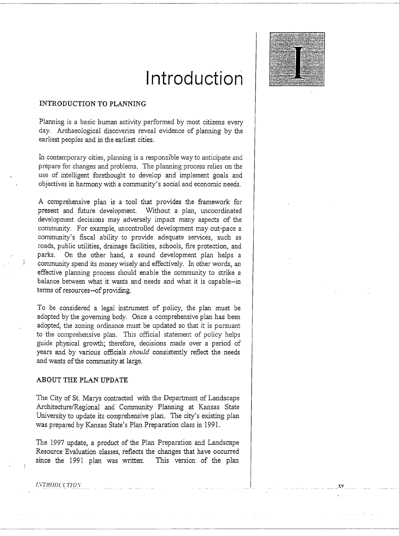## **Introduction**



Planning is a basic human activity performed by most citizens every day. Archaeological discoveries reveal evidence of planning by the earliest peoples and in the earliest cities.

In contemporary cities, planning is a responsible way to anticipate and prepare for changes and problems. The planning process relies on the use of intelligent forethought to develop and implement goals and objectives in harmony with a community's social and economic needs.

A comprehensive plan is a tool that provides the framework for present and future development. Without a plan, uncoordinated development decisions may adversely impact many aspects of the community. For example, uncontrolled development may out-pace a community's fiscal ability to provide adequate services, such as roads, public utilities, drainage facilities, schools, fire protection, and parks. On the other hand, a sound development plan helps a community spend its money wisely and effectively. In other words, an effective planning process should enable the community to strike a balance between what it wants and needs and what it is capable--in terms of resources--of providing.

To be considered a legal instrument of policy, the plan must be adopted by the governing body. Once a comprehensive plan has been adopted, the zoning ordinance must be updated so that it is pursuant to the comprehensive plan. This official statement of policy helps guide physical growth; therefore, decisions made over a period of years and by various officials *should* consistently reflect the needs and wants of the community at large.

## **ABOUT THE PLAN UPDATE**

The City of St. Marys contracted with the Department of Landscape Architecture/Regional and Community Planning at Kansas State University to update its comprehensive plan. The city's existing plan was prepared by Kansas State's Plan Preparation class in 1991.

The 1997 update, a product of the Plan Preparation and Landscape Resource Evaluation classes, reflects the changes that have occurred since the 1991 plan was written. This version of the plan

**INTRODUCTION** 

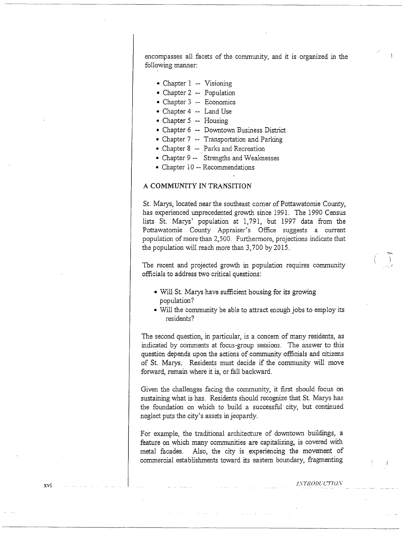encompasses all facets of the community, and it· is organized in the following manner:

- $\bullet$  Chapter 1 -- Visioning
- Chapter 2 -- Population
- $\bullet$  Chapter 3 -- Economics
- Chapter 4 -- Land Use
- Chapter  $5$  -- Housing
- Chapter 6 -- Downtown Business District
- Chapter  $7$  -- Transportation and Parking
- Chapter 8 -- Parks and Recreation
- Chapter 9 -- Strengths and Weaknesses
- Chapter 10 -- Recommendations

## A COMMUNITY IN TRANSITION

St. Marys, located near the southeast comer of Pottawatomie County, has experienced unprecedented growth since 1991. The 1990 Census lists St. Marys' population at 1, 791, but 1997 data from the Pottawatomie County Appraiser's Office suggests a current population of more than 2,500. Furthermore, projections indicate that the population will reach more than 3,700 by 2015.

The recent and projected growth in population requires community officials to address two critical questions:

- Will St. Marys have sufficient housing for its growing population?
- Will the community be able to attract enough jobs to employ its residents?

The second question, in particular, is a concern of many residents, as indicated by comments at focus-group sessions. The answer *to* this question depends upon the actions of community officials and citizens of St. Marys. Residents must decide if the community will move forward, remain where it is, or fall backward.

Given the challenges facing the community, it first should focus on sustaining what is has. Residents should recognize that St. Marys has the foundation on which to build a successful city, but continued neglect puts the city's assets in jeopardy.

For example, the traditional architecture of downtown buildings, a feature on which many communities are capitalizing, is covered with metal facades. Also, the city is experiencing the movement of commercial establishments toward its eastern boundary, fragmenting

/.\"TRO!JCCT!O.\.

... :•

xvi-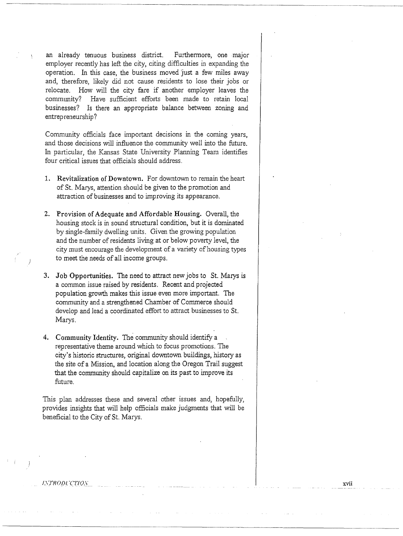an already tenuous business district. Furthermore, one major employer recently has left the city, citing difficulties in expanding the operation. In this case, the business moved just a few miles away and, therefore, likely did not cause residents to lose their jobs or relocate. How will the city fare if another employer leaves the community? Have sufficient efforts been made to retain local businesses? Is there an appropriate balance between zoning and entrepreneurship?

Community officials face important decisions in the coming years, and those decisions will influence the community well into the future. In particular, the Kansas State University Planning Team identifies four critical issues that officials should address.

- 1. Revitalization of Downtown. For downtown to remain the heart of St. Marys, attention should be given to the promotion and attraction of businesses and to improving its appearance.
- 2. Provision of Adequate and Affordable Housing. Overall, the housing stock is in sound structural condition, but it is dominated by single-family dwelling units. Given the growing population and the number of residents living at or below poverty level, the city must encourage the development of a variety of housing types to meet the needs of all income groups.
- 3. Job Opportunities. The need to attract new jobs to St. Marys is a common issue raised by residents. Recent and projected population growth makes this issue even more important. The community and a strengthened Chamber of Commerce should develop and lead a coordinated effort to attract businesses to St. Marys.
- 4. Community Identity. The community should identify a representative theme around which to focus promotions. The city's historic structures, original downtown buildings, history as the site of a Mission, and location along the Oregon Trail suggest that the community should capitalize on its past to improve its future.

This plan addresses these and several other issues and, hopefully, provides insights that will help officials make judgments that will be beneficial to the City of St. Marys.

*!\_\TROD!.* ·cTIO.\" xvii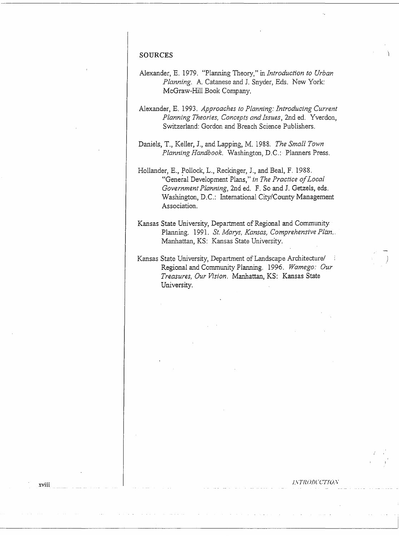## **SOURCES**

xviii

- Alexander, E. 1979. "Planning Theory," in *Introduction to Urban Planning.* A. Catanese and I. Snyder, Eds. New York: McGraw-Hill Book Company.
- Alexander, E. 1993. *Approaches to Planning: Introducing Current Planning Theories, Concepts and Issues,* 2nd ed. Yverdon, Switzerland: Gordon and Breach Science Publishers.

Daniels, T., Keller, J., and Lappmg, M. 1988. *The Small Town Planning Handbook.* Washington, D.C.: Planners Press.

Hollander, E., Pollock, L., Reckinger, J., and Beal, F. 1988. "General Development.Plans," *in The Practice of Local Government Planning,* 2nd ed. F. So and I. Getzels, eds. Washington, D.C.: International City/County Management Association.

Kansas State University, Department of Regional and Community Planning. 1991. *St. Marys, Kansas, Comprehensive Plan ..*  Manhattan, KS: Kansas State University.

Kansas State University, Department of Landscape Architecture/ Regional and Community Planning. 1996. *Wamego: Our Treasures, Our Vision.* Manhattan, KS: Kansas State University.

f;\TUODCCT!O:\"